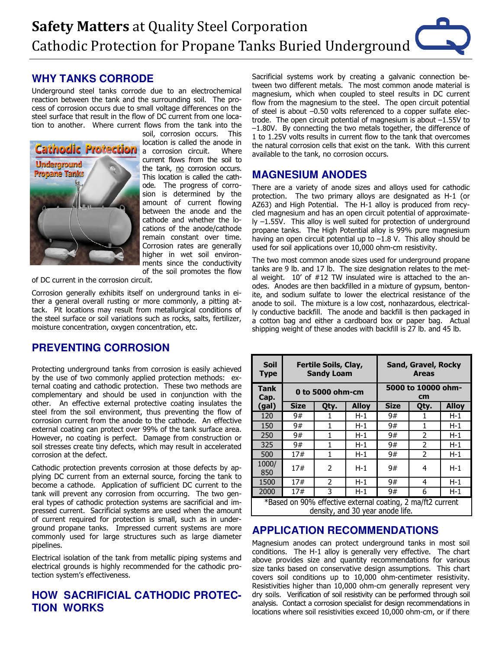## **WHY TANKS CORRODE**

Underground steel tanks corrode due to an electrochemical reaction between the tank and the surrounding soil. The process of corrosion occurs due to small voltage differences on the steel surface that result in the flow of DC current from one location to another. Where current flows from the tank into the



soil, corrosion occurs. This location is called the anode in a corrosion circuit. Where current flows from the soil to the tank, no corrosion occurs. This location is called the cathode. The progress of corrosion is determined by the amount of current flowing between the anode and the cathode and whether the locations of the anode/cathode remain constant over time. Corrosion rates are generally higher in wet soil environments since the conductivity of the soil promotes the flow

of DC current in the corrosion circuit.

Corrosion generally exhibits itself on underground tanks in either a general overall rusting or more commonly, a pitting attack. Pit locations may result from metallurgical conditions of the steel surface or soil variations such as rocks, salts, fertilizer, moisture concentration, oxygen concentration, etc.

# **PREVENTING CORROSION**

Protecting underground tanks from corrosion is easily achieved by the use of two commonly applied protection methods: external coating and cathodic protection. These two methods are complementary and should be used in conjunction with the other. An effective external protective coating insulates the steel from the soil environment, thus preventing the flow of corrosion current from the anode to the cathode. An effective external coating can protect over 99% of the tank surface area. However, no coating is perfect. Damage from construction or soil stresses create tiny defects, which may result in accelerated corrosion at the defect.

Cathodic protection prevents corrosion at those defects by applying DC current from an external source, forcing the tank to become a cathode. Application of sufficient DC current to the tank will prevent any corrosion from occurring. The two general types of cathodic protection systems are sacrificial and impressed current. Sacrificial systems are used when the amount of current required for protection is small, such as in underground propane tanks. Impressed current systems are more commonly used for large structures such as large diameter pipelines.

Electrical isolation of the tank from metallic piping systems and electrical grounds is highly recommended for the cathodic protection system's effectiveness.

## **HOW SACRIFICIAL CATHODIC PROTEC-TION WORKS**

Sacrificial systems work by creating a galvanic connection between two different metals. The most common anode material is magnesium, which when coupled to steel results in DC current flow from the magnesium to the steel. The open circuit potential of steel is about -0.50 volts referenced to a copper sulfate electrode. The open circuit potential of magnesium is about  $-1.55V$  to  $-1.80V$ . By connecting the two metals together, the difference of 1 to 1.25V volts results in current flow to the tank that overcomes the natural corrosion cells that exist on the tank. With this current available to the tank, no corrosion occurs.

### **MAGNESIUM ANODES**

There are a variety of anode sizes and alloys used for cathodic protection. The two primary alloys are designated as H-1 (or AZ63) and High Potential. The H-1 alloy is produced from recycled magnesium and has an open circuit potential of approximate- $\sqrt{v}$  -1.55V. This alloy is well suited for protection of underground propane tanks. The High Potential alloy is 99% pure magnesium having an open circuit potential up to  $-1.8$  V. This alloy should be used for soil applications over 10,000 ohm-cm resistivity.

The two most common anode sizes used for underground propane tanks are 9 lb. and 17 lb. The size designation relates to the metal weight. 10' of #12 TW insulated wire is attached to the anodes. Anodes are then backfilled in a mixture of gypsum, bentonite, and sodium sulfate to lower the electrical resistance of the anode to soil. The mixture is a low cost, nonhazardous, electrically conductive backfill. The anode and backfill is then packaged in a cotton bag and either a cardboard box or paper bag. Actual shipping weight of these anodes with backfill is 27 lb. and 45 lb.

| <b>Soil</b><br><b>Type</b>                                                                     | Fertile Soils, Clay,<br><b>Sandy Loam</b> |      |              | Sand, Gravel, Rocky<br><b>Areas</b> |               |              |
|------------------------------------------------------------------------------------------------|-------------------------------------------|------|--------------|-------------------------------------|---------------|--------------|
| <b>Tank</b><br>Cap.                                                                            | 0 to 5000 ohm-cm                          |      |              | 5000 to 10000 ohm-<br>cm            |               |              |
| (gal)                                                                                          | Size                                      | Qty. | <b>Alloy</b> | <b>Size</b>                         | Qty.          | <b>Alloy</b> |
| 120                                                                                            | 9#                                        |      | H-1          | 9#                                  |               | H-1          |
| 150                                                                                            | 9#                                        |      | $H-1$        | 9#                                  |               | $H-1$        |
| 250                                                                                            | 9#                                        |      | $H-1$        | 9#                                  | 2             | $H-1$        |
| 325                                                                                            | 9#                                        | 1    | $H-1$        | 9#                                  | $\mathcal{P}$ | $H-1$        |
| 500                                                                                            | 17#                                       | 1    | $H-1$        | 9#                                  | 2             | $H-1$        |
| 1000/<br>850                                                                                   | 17#                                       | 2    | $H-1$        | 9#                                  | 4             | $H-1$        |
| 1500                                                                                           | 17#                                       | 2    | $H-1$        | 9#                                  | 4             | $H-1$        |
| 2000                                                                                           | 17#                                       | 3    | H-1          | 9#                                  | 6             | $H-1$        |
| *Based on 90% effective external coating, 2 ma/ft2 current<br>density, and 30 year anode life. |                                           |      |              |                                     |               |              |

### **APPLICATION RECOMMENDATIONS**

Magnesium anodes can protect underground tanks in most soil conditions. The H-1 alloy is generally very effective. The chart above provides size and quantity recommendations for various size tanks based on conservative design assumptions. This chart covers soil conditions up to 10,000 ohm-centimeter resistivity. Resistivities higher than 10,000 ohm-cm generally represent very dry soils. Verification of soil resistivity can be performed through soil analysis. Contact a corrosion specialist for design recommendations in locations where soil resistivities exceed 10,000 ohm-cm, or if there